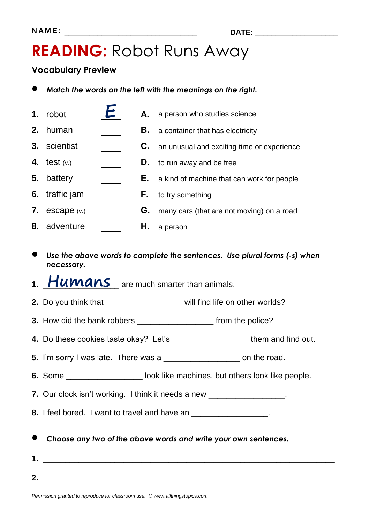### **READING:** Robot Runs Away

### **Vocabulary Preview**

- *Match the words on the left with the meanings on the right.*
- **1.** robot **A.** a person who studies science
- **2.** human **B.** a container that has electricity
- **3.** scientist **C.** an unusual and exciting time or experience
- **4.** test (v.) **D.** to run away and be free
- **5.** battery **E.** a kind of machine that can work for people
- **6.** traffic jam **F.** to try something
- **7.** escape (v.) **G.** many cars (that are not moving) on a road
- **8.** adventure **H.** a person
- *Use the above words to complete the sentences. Use plural forms (-s) when necessary.*
- 1. **Humans** are much smarter than animals.
- **2.** Do you think that **2. 2.** will find life on other worlds?
- **3.** How did the bank robbers \_\_\_\_\_\_\_\_\_\_\_\_\_\_\_\_\_\_\_\_\_\_ from the police?
- **4.** Do these cookies taste okay? Let's \_\_\_\_\_\_\_\_\_\_\_\_\_\_\_\_\_ them and find out.
- **5.** I'm sorry I was late. There was a \_\_\_\_\_\_\_\_\_\_\_\_\_\_\_\_\_\_\_\_\_\_ on the road.
- **6.** Some \_\_\_\_\_\_\_\_\_\_\_\_\_\_\_\_\_\_\_\_\_ look like machines, but others look like people.

**7.** Our clock isn't working. I think it needs a new \_\_\_\_\_\_\_\_\_\_\_\_\_\_\_\_\_.

**8.** I feel bored. I want to travel and have an \_\_\_\_\_\_\_\_\_\_\_\_\_\_\_\_\_\_.

- *Choose any two of the above words and write your own sentences.*
- **1.** \_\_\_\_\_\_\_\_\_\_\_\_\_\_\_\_\_\_\_\_\_\_\_\_\_\_\_\_\_\_\_\_\_\_\_\_\_\_\_\_\_\_\_\_\_\_\_\_\_\_\_\_\_\_\_\_\_\_\_\_\_\_\_\_\_ **2.** \_\_\_\_\_\_\_\_\_\_\_\_\_\_\_\_\_\_\_\_\_\_\_\_\_\_\_\_\_\_\_\_\_\_\_\_\_\_\_\_\_\_\_\_\_\_\_\_\_\_\_\_\_\_\_\_\_\_\_\_\_\_\_\_\_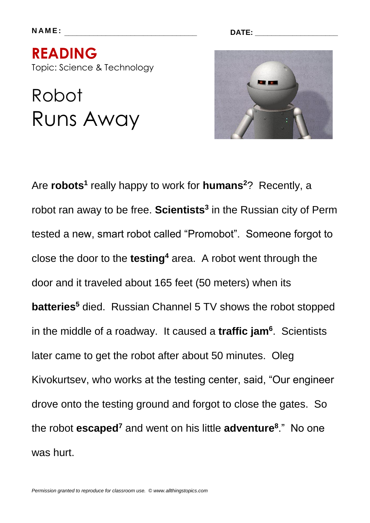**N A M E : \_\_\_\_\_\_\_\_\_\_\_\_\_\_\_\_\_\_\_\_\_\_\_\_\_\_\_\_\_\_\_\_ DATE: \_\_\_\_\_\_\_\_\_\_\_\_\_\_\_\_\_\_\_\_**

**READING**  Topic: Science & Technology

# Robot Runs Away



Are **robots<sup>1</sup>** really happy to work for **humans**<sup>2</sup>? Recently, a robot ran away to be free. **Scientists<sup>3</sup>** in the Russian city of Perm tested a new, smart robot called "Promobot". Someone forgot to close the door to the **testing<sup>4</sup>** area. A robot went through the door and it traveled about 165 feet (50 meters) when its **batteries<sup>5</sup>** died. Russian Channel 5 TV shows the robot stopped in the middle of a roadway. It caused a **traffic jam<sup>6</sup>** . Scientists later came to get the robot after about 50 minutes. Oleg Kivokurtsev, who works at the testing center, said, "Our engineer drove onto the testing ground and forgot to close the gates. So the robot **escaped<sup>7</sup>** and went on his little **adventure<sup>8</sup>** ." No one was hurt.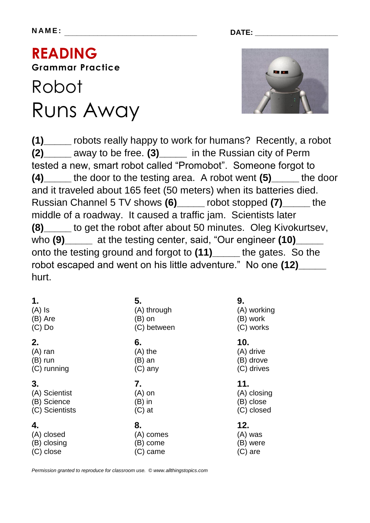**N A M E : \_\_\_\_\_\_\_\_\_\_\_\_\_\_\_\_\_\_\_\_\_\_\_\_\_\_\_\_\_\_\_\_ DATE: \_\_\_\_\_\_\_\_\_\_\_\_\_\_\_\_\_\_\_\_**

## **READING Grammar Practice**

## Robot Runs Away



**(1)\_\_\_\_\_** robots really happy to work for humans? Recently, a robot **(2)\_\_\_\_\_** away to be free. **(3)\_\_\_\_\_** in the Russian city of Perm tested a new, smart robot called "Promobot". Someone forgot to **(4)\_\_\_\_\_** the door to the testing area. A robot went **(5)\_\_\_\_\_** the door and it traveled about 165 feet (50 meters) when its batteries died. Russian Channel 5 TV shows **(6)\_\_\_\_\_** robot stopped **(7)\_\_\_\_\_** the middle of a roadway. It caused a traffic jam. Scientists later **(8)** to get the robot after about 50 minutes. Oleg Kivokurtsev, who **(9)\_\_\_\_\_** at the testing center, said, "Our engineer **(10)\_\_\_\_\_** onto the testing ground and forgot to **(11)\_\_\_\_\_** the gates. So the robot escaped and went on his little adventure." No one **(12)\_\_\_\_\_**  hurt.

| 1.             | 5.          | 9.          |
|----------------|-------------|-------------|
| $(A)$ Is       | (A) through | (A) working |
| (B) Are        | $(B)$ on    | (B) work    |
| $(C)$ Do       | (C) between | (C) works   |
| 2.             | 6.          | 10.         |
| $(A)$ ran      | $(A)$ the   | (A) drive   |
| $(B)$ run      | $(B)$ an    | (B) drove   |
| (C) running    | $(C)$ any   | (C) drives  |
| 3.             | 7.          | 11.         |
| (A) Scientist  | $(A)$ on    | (A) closing |
| (B) Science    | $(B)$ in    | (B) close   |
| (C) Scientists | $(C)$ at    | (C) closed  |

*Permission granted to reproduce for classroom use. © www.allthingstopics.com*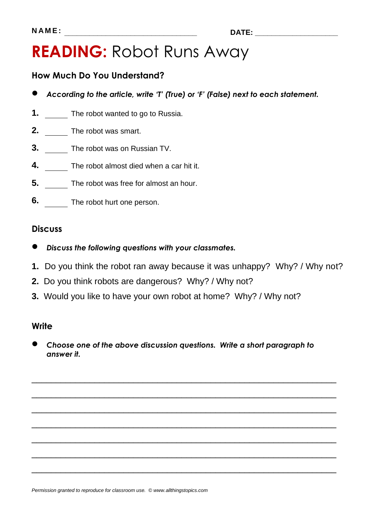## **READING:** Robot Runs Away

### **How Much Do You Understand?**

- *According to the article, write 'T' (True) or 'F' (False) next to each statement.*
- **1.** The robot wanted to go to Russia.
- **2.** The robot was smart.
- **3.** The robot was on Russian TV.
- **4.** The robot almost died when a car hit it.
- **5.** The robot was free for almost an hour.
- **6.** The robot hurt one person.

### **Discuss**

- *Discuss the following questions with your classmates.*
- **1.** Do you think the robot ran away because it was unhappy? Why? / Why not?
- **2.** Do you think robots are dangerous? Why? / Why not?
- **3.** Would you like to have your own robot at home? Why? / Why not?

#### **Write**

 *Choose one of the above discussion questions. Write a short paragraph to answer it.*

\_\_\_\_\_\_\_\_\_\_\_\_\_\_\_\_\_\_\_\_\_\_\_\_\_\_\_\_\_\_\_\_\_\_\_\_\_\_\_\_\_\_\_\_\_\_\_\_\_\_\_\_\_\_\_\_\_\_\_\_\_\_\_

\_\_\_\_\_\_\_\_\_\_\_\_\_\_\_\_\_\_\_\_\_\_\_\_\_\_\_\_\_\_\_\_\_\_\_\_\_\_\_\_\_\_\_\_\_\_\_\_\_\_\_\_\_\_\_\_\_\_\_\_\_\_\_

\_\_\_\_\_\_\_\_\_\_\_\_\_\_\_\_\_\_\_\_\_\_\_\_\_\_\_\_\_\_\_\_\_\_\_\_\_\_\_\_\_\_\_\_\_\_\_\_\_\_\_\_\_\_\_\_\_\_\_\_\_\_\_

\_\_\_\_\_\_\_\_\_\_\_\_\_\_\_\_\_\_\_\_\_\_\_\_\_\_\_\_\_\_\_\_\_\_\_\_\_\_\_\_\_\_\_\_\_\_\_\_\_\_\_\_\_\_\_\_\_\_\_\_\_\_\_

\_\_\_\_\_\_\_\_\_\_\_\_\_\_\_\_\_\_\_\_\_\_\_\_\_\_\_\_\_\_\_\_\_\_\_\_\_\_\_\_\_\_\_\_\_\_\_\_\_\_\_\_\_\_\_\_\_\_\_\_\_\_\_

\_\_\_\_\_\_\_\_\_\_\_\_\_\_\_\_\_\_\_\_\_\_\_\_\_\_\_\_\_\_\_\_\_\_\_\_\_\_\_\_\_\_\_\_\_\_\_\_\_\_\_\_\_\_\_\_\_\_\_\_\_\_\_

\_\_\_\_\_\_\_\_\_\_\_\_\_\_\_\_\_\_\_\_\_\_\_\_\_\_\_\_\_\_\_\_\_\_\_\_\_\_\_\_\_\_\_\_\_\_\_\_\_\_\_\_\_\_\_\_\_\_\_\_\_\_\_

*Permission granted to reproduce for classroom use. © www.allthingstopics.com*